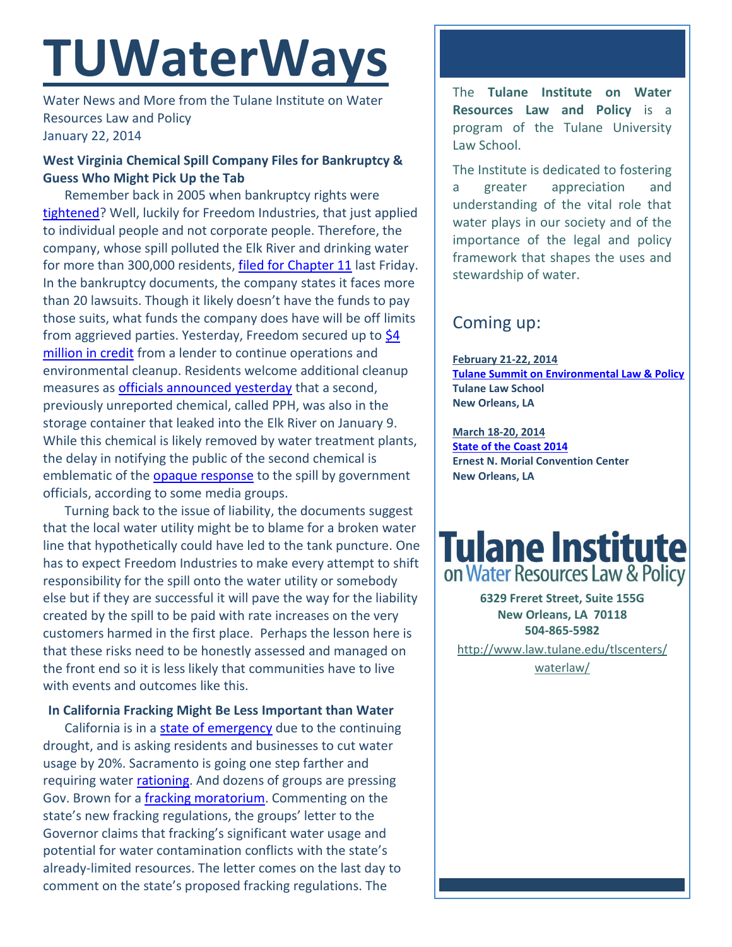# **TUWaterWays**

Water News and More from the Tulane Institute on Water Resources Law and Policy January 22, 2014

### **West Virginia Chemical Spill Company Files for Bankruptcy & Guess Who Might Pick Up the Tab**

Remember back in 2005 when bankruptcy rights were [tightened?](http://news.gnom.es/news/creative-bankruptcy-that-west-virginia-chemical-company) Well, luckily for Freedom Industries, that just applied to individual people and not corporate people. Therefore, the company, whose spill polluted the Elk River and drinking water for more than 300,000 residents, [filed for Chapter 11](http://www.nytimes.com/2014/01/18/us/company-in-west-virginia-spill-files-for-bankruptcy.html) last Friday. In the bankruptcy documents, the company states it faces more than 20 lawsuits. Though it likely doesn't have the funds to pay those suits, what funds the company does have will be off limits from aggrieved parties. Yesterday, Freedom secured up to \$4 [million in credit](http://www.startribune.com/business/241380671.html) from a lender to continue operations and environmental cleanup. Residents welcome additional cleanup measures as [officials announced yesterday](http://www.huffingtonpost.com/2014/01/21/west-virginia-spill-second-chemical_n_4640417.html?utm_hp_ref=green) that a second, previously unreported chemical, called PPH, was also in the storage container that leaked into the Elk River on January 9. While this chemical is likely removed by water treatment plants, the delay in notifying the public of the second chemical is emblematic of the **opaque response** to the spill by government officials, according to some media groups.

Turning back to the issue of liability, the documents suggest that the local water utility might be to blame for a broken water line that hypothetically could have led to the tank puncture. One has to expect Freedom Industries to make every attempt to shift responsibility for the spill onto the water utility or somebody else but if they are successful it will pave the way for the liability created by the spill to be paid with rate increases on the very customers harmed in the first place. Perhaps the lesson here is that these risks need to be honestly assessed and managed on the front end so it is less likely that communities have to live with events and outcomes like this.

### **In California Fracking Might Be Less Important than Water**

California is in [a state of emergency](http://www.latimes.com/local/political/la-me-pc-jerry-brown-declares-drought-emergency-in-california-20140117,0,3244744.story#axzz2qxntOXvD) due to the continuing drought, and is asking residents and businesses to cut water usage by 20%. Sacramento is going one step farther and requiring water [rationing.](http://www.sacbee.com/2014/01/14/6071929/sacramento-council-to-weigh-water.html) And dozens of groups are pressing Gov. Brown for a [fracking moratorium.](http://www.eenews.net/assets/2014/01/15/document_ew_03.pdf) Commenting on the state's new fracking regulations, the groups' letter to the Governor claims that fracking's significant water usage and potential for water contamination conflicts with the state's already-limited resources. The letter comes on the last day to comment on the state's proposed fracking regulations. The

The **Tulane Institute on Water Resources Law and Policy** is a program of the Tulane University Law School.

The Institute is dedicated to fostering a greater appreciation and understanding of the vital role that water plays in our society and of the importance of the legal and policy framework that shapes the uses and stewardship of water.

### Coming up:

**February 21-22, 2014 [Tulane Summit on Environmental Law & Policy](http://www.law.tulane.edu/tlsOrgs/tels/telc/summit.aspx) Tulane Law School New Orleans, LA**

**March 18-20, 2014 [State of the Coast 2014](http://www.stateofthecoast.org/about-the-conference.html) Ernest N. Morial Convention Center New Orleans, LA**

## **Tulane Institute** on Water Resources Law & Policy

**6329 Freret Street, Suite 155G New Orleans, LA 70118 504-865-5982** 

[http://www.law.tulane.edu/tlscenters/](http://www.law.tulane.edu/tlscenters/waterlaw/) [waterlaw/](http://www.law.tulane.edu/tlscenters/waterlaw/)